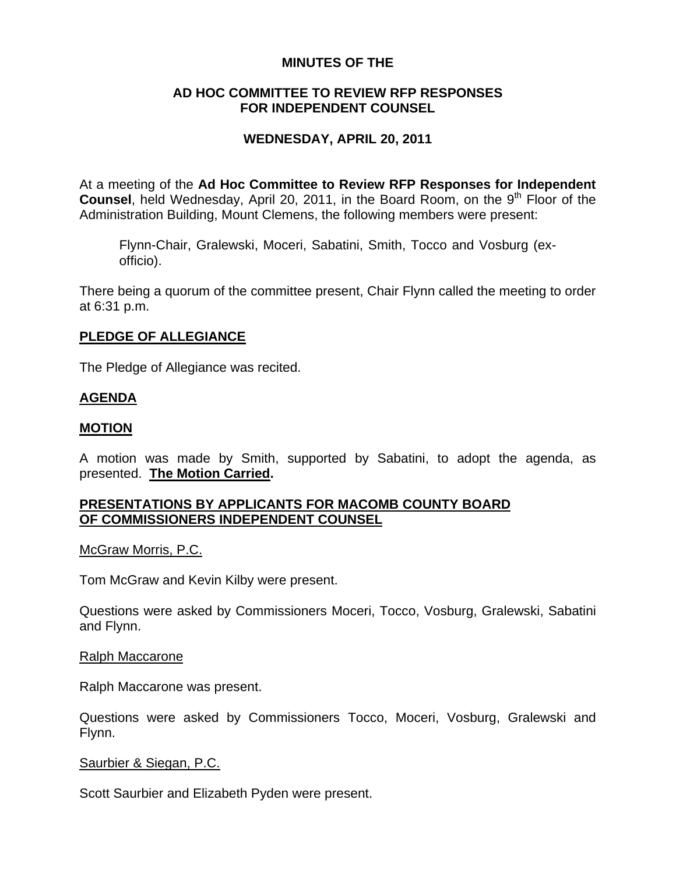## **MINUTES OF THE**

## **AD HOC COMMITTEE TO REVIEW RFP RESPONSES FOR INDEPENDENT COUNSEL**

# **WEDNESDAY, APRIL 20, 2011**

At a meeting of the **Ad Hoc Committee to Review RFP Responses for Independent Counsel**, held Wednesday, April 20, 2011, in the Board Room, on the 9<sup>th</sup> Floor of the Administration Building, Mount Clemens, the following members were present:

Flynn-Chair, Gralewski, Moceri, Sabatini, Smith, Tocco and Vosburg (exofficio).

There being a quorum of the committee present, Chair Flynn called the meeting to order at 6:31 p.m.

## **PLEDGE OF ALLEGIANCE**

The Pledge of Allegiance was recited.

## **AGENDA**

#### **MOTION**

A motion was made by Smith, supported by Sabatini, to adopt the agenda, as presented. **The Motion Carried.** 

### **PRESENTATIONS BY APPLICANTS FOR MACOMB COUNTY BOARD OF COMMISSIONERS INDEPENDENT COUNSEL**

McGraw Morris, P.C.

Tom McGraw and Kevin Kilby were present.

Questions were asked by Commissioners Moceri, Tocco, Vosburg, Gralewski, Sabatini and Flynn.

Ralph Maccarone

Ralph Maccarone was present.

Questions were asked by Commissioners Tocco, Moceri, Vosburg, Gralewski and Flynn.

Saurbier & Siegan, P.C.

Scott Saurbier and Elizabeth Pyden were present.